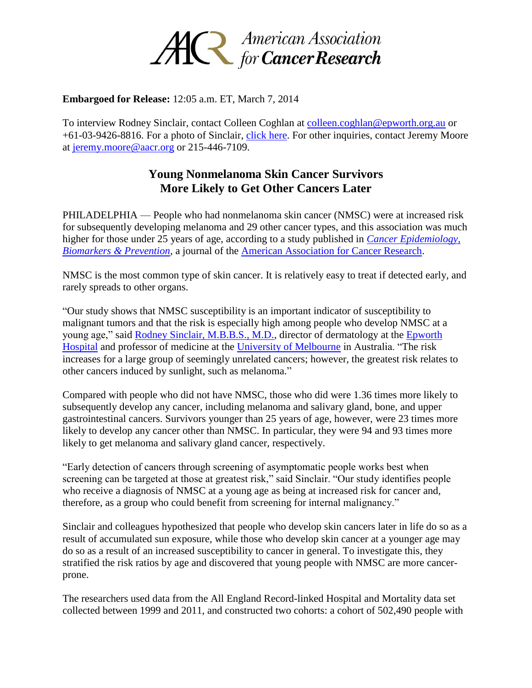

## **Embargoed for Release:** 12:05 a.m. ET, March 7, 2014

To interview Rodney Sinclair, contact Colleen Coghlan at [colleen.coghlan@epworth.org.au](mailto:colleen.coghlan@epworth.org.au) or +61-03-9426-8816. For a photo of Sinclair, [click here.](http://www.aacr.org/Uploads/Gallery/News_Images/Sinclair_Rodney.JPG) For other inquiries, contact Jeremy Moore at [jeremy.moore@aacr.org](mailto:jeremy.moore@aacr.org) or 215-446-7109.

## **Young Nonmelanoma Skin Cancer Survivors More Likely to Get Other Cancers Later**

PHILADELPHIA — People who had nonmelanoma skin cancer (NMSC) were at increased risk for subsequently developing melanoma and 29 other cancer types, and this association was much higher for those under 25 years of age, according to a study published in *[Cancer Epidemiology,](http://cebp.aacrjournals.org/)  [Biomarkers & Prevention,](http://cebp.aacrjournals.org/)* a journal of the [American Association for Cancer Research.](http://www.aacr.org/)

NMSC is the most common type of skin cancer. It is relatively easy to treat if detected early, and rarely spreads to other organs.

"Our study shows that NMSC susceptibility is an important indicator of susceptibility to malignant tumors and that the risk is especially high among people who develop NMSC at a young age," said [Rodney Sinclair, M.B.B.S., M.D.,](http://theconversation.com/profiles/rodney-sinclair-16039/profile_bio) director of dermatology at the [Epworth](http://www.epworth.org.au/Pages/Home.aspx)  [Hospital](http://www.epworth.org.au/Pages/Home.aspx) and professor of medicine at the [University of Melbourne](http://www.unimelb.edu.au/) in Australia. "The risk increases for a large group of seemingly unrelated cancers; however, the greatest risk relates to other cancers induced by sunlight, such as melanoma."

Compared with people who did not have NMSC, those who did were 1.36 times more likely to subsequently develop any cancer, including melanoma and salivary gland, bone, and upper gastrointestinal cancers. Survivors younger than 25 years of age, however, were 23 times more likely to develop any cancer other than NMSC. In particular, they were 94 and 93 times more likely to get melanoma and salivary gland cancer, respectively.

"Early detection of cancers through screening of asymptomatic people works best when screening can be targeted at those at greatest risk," said Sinclair. "Our study identifies people who receive a diagnosis of NMSC at a young age as being at increased risk for cancer and, therefore, as a group who could benefit from screening for internal malignancy."

Sinclair and colleagues hypothesized that people who develop skin cancers later in life do so as a result of accumulated sun exposure, while those who develop skin cancer at a younger age may do so as a result of an increased susceptibility to cancer in general. To investigate this, they stratified the risk ratios by age and discovered that young people with NMSC are more cancerprone.

The researchers used data from the All England Record-linked Hospital and Mortality data set collected between 1999 and 2011, and constructed two cohorts: a cohort of 502,490 people with